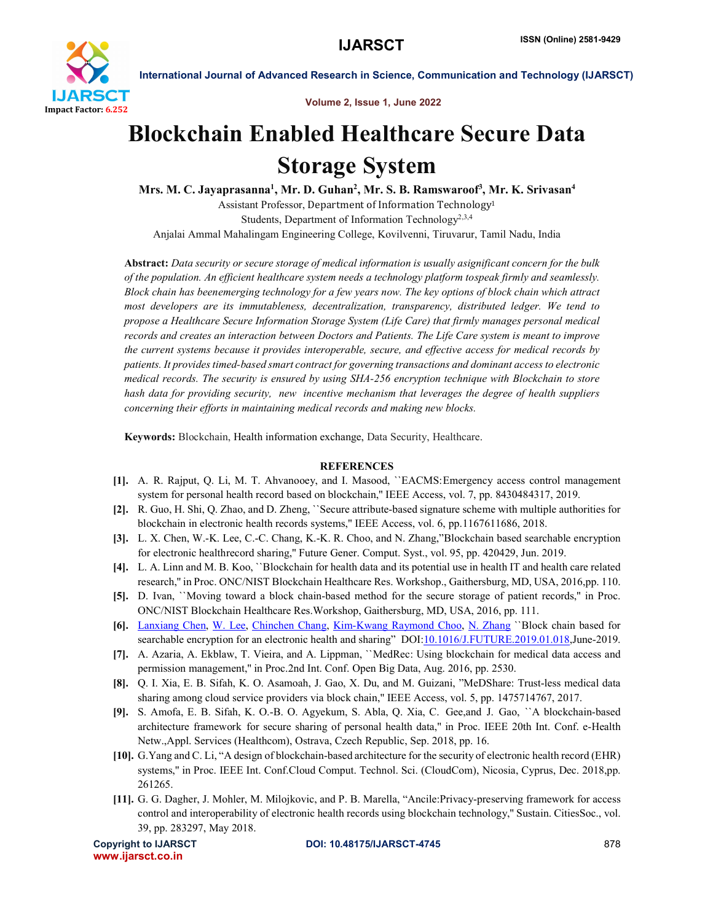

International Journal of Advanced Research in Science, Communication and Technology (IJARSCT)

Volume 2, Issue 1, June 2022

## Blockchain Enabled Healthcare Secure Data Storage System

Mrs. M. C. Jayaprasanna<sup>1</sup>, Mr. D. Guhan<sup>2</sup>, Mr. S. B. Ramswaroof<sup>3</sup>, Mr. K. Srivasan<sup>4</sup> Assistant Professor, Department of Information Technology1 Students, Department of Information Technology<sup>2,3,4</sup>

Anjalai Ammal Mahalingam Engineering College, Kovilvenni, Tiruvarur, Tamil Nadu, India

Abstract: *Data security or secure storage of medical information is usually asignificant concern for the bulk of the population. An efficient healthcare system needs a technology platform tospeak firmly and seamlessly. Block chain has beenemerging technology for a few years now. The key options of block chain which attract most developers are its immutableness, decentralization, transparency, distributed ledger. We tend to propose a Healthcare Secure Information Storage System (Life Care) that firmly manages personal medical records and creates an interaction between Doctors and Patients. The Life Care system is meant to improve the current systems because it provides interoperable, secure, and effective access for medical records by patients. It provides timed-based smart contract for governing transactions and dominant access to electronic medical records. The security is ensured by using SHA-256 encryption technique with Blockchain to store hash data for providing security, new incentive mechanism that leverages the degree of health suppliers concerning their efforts in maintaining medical records and making new blocks.*

Keywords: Blockchain, Health information exchange, Data Security, Healthcare.

## **REFERENCES**

- [1]. A. R. Rajput, Q. Li, M. T. Ahvanooey, and I. Masood, ``EACMS:Emergency access control management system for personal health record based on blockchain,'' IEEE Access, vol. 7, pp. 8430484317, 2019.
- [2]. R. Guo, H. Shi, Q. Zhao, and D. Zheng, ``Secure attribute-based signature scheme with multiple authorities for blockchain in electronic health records systems,'' IEEE Access, vol. 6, pp.1167611686, 2018.
- [3]. L. X. Chen, W.-K. Lee, C.-C. Chang, K.-K. R. Choo, and N. Zhang,"Blockchain based searchable encryption for electronic healthrecord sharing,'' Future Gener. Comput. Syst., vol. 95, pp. 420429, Jun. 2019.
- [4]. L. A. Linn and M. B. Koo, ``Blockchain for health data and its potential use in health IT and health care related research,'' in Proc. ONC/NIST Blockchain Healthcare Res. Workshop., Gaithersburg, MD, USA, 2016,pp. 110.
- [5]. D. Ivan, ``Moving toward a block chain-based method for the secure storage of patient records,'' in Proc. ONC/NIST Blockchain Healthcare Res.Workshop, Gaithersburg, MD, USA, 2016, pp. 111.
- [6]. Lanxiang Chen, W. Lee, Chinchen Chang, Kim-Kwang Raymond Choo, N. Zhang ``Block chain based for searchable encryption for an electronic health and sharing" DOI:<u>10.1016/J.FUTURE.2019.01.018</u>,June-2019.
- [7]. A. Azaria, A. Ekblaw, T. Vieira, and A. Lippman, ``MedRec: Using blockchain for medical data access and permission management,'' in Proc.2nd Int. Conf. Open Big Data, Aug. 2016, pp. 2530.
- [8]. Q. I. Xia, E. B. Sifah, K. O. Asamoah, J. Gao, X. Du, and M. Guizani, "MeDShare: Trust-less medical data sharing among cloud service providers via block chain,'' IEEE Access, vol. 5, pp. 1475714767, 2017.
- [9]. S. Amofa, E. B. Sifah, K. O.-B. O. Agyekum, S. Abla, Q. Xia, C. Gee,and J. Gao, ``A blockchain-based architecture framework for secure sharing of personal health data," in Proc. IEEE 20th Int. Conf. e-Health Netw.,Appl. Services (Healthcom), Ostrava, Czech Republic, Sep. 2018, pp. 16.
- [10]. G.Yang and C. Li, "A design of blockchain-based architecture for the security of electronic health record (EHR) systems,'' in Proc. IEEE Int. Conf.Cloud Comput. Technol. Sci. (CloudCom), Nicosia, Cyprus, Dec. 2018,pp. 261265.
- [11]. G. G. Dagher, J. Mohler, M. Milojkovic, and P. B. Marella, "Ancile:Privacy-preserving framework for access control and interoperability of electronic health records using blockchain technology,'' Sustain. CitiesSoc., vol. 39, pp. 283297, May 2018.

www.ijarsct.co.in